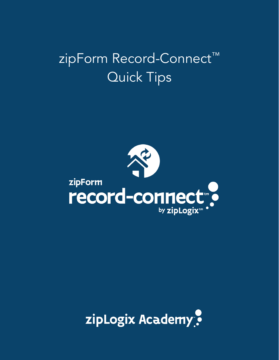## zipForm Record-Connect™ Quick Tips



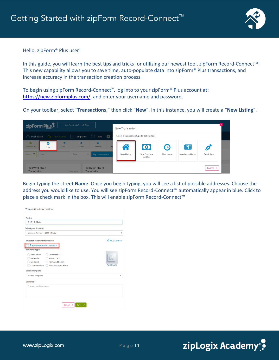

## Hello, zipForm® Plus user!

In this guide, you will learn the best tips and tricks for utilizing our newest tool, zipForm Record-Connect™! This new capability allows you to save time, auto-populate data into zipForm® Plus transactions, and increase accuracy in the transaction creation process.

To begin using zipForm Record-Connect™, log into to your zipForm® Plus account at: [https://new.zipformplus.com/,](https://new.zipformplus.com/) and enter your username and password.

On your toolbar, select "**Transactions**," then click "**New**". In this instance, you will create a "**New Listing**".

| zipForm Plus                                  | Use Classic zipForm® Plus |                                           |                | <b>New Transaction</b>                                                                  |
|-----------------------------------------------|---------------------------|-------------------------------------------|----------------|-----------------------------------------------------------------------------------------|
| (2) Dashboard                                 | $\bigcap$ Transactions    | Tasks<br>Templates                        | $\blacksquare$ | Select a transaction type to get started                                                |
| $\mathbb{O}$<br>О<br>View Forms<br><b>New</b> | $+1$<br>Import            | $\bullet$<br>面<br><b>Delete</b><br>Export |                | 啯<br>$\bullet$<br>$\mathbf{\Omega}$<br>$\bigcap$                                        |
| Filters <sup>P</sup><br>Search                | Sort                      | $\div$<br>My transactions                 |                | Quick Sign<br>New Purchase<br>New Listing<br>New Lease<br>New Lease-Listing<br>or Offer |
| 123 West Stree<br><b>Tracey Smith</b>         | 1 hour ago                | 123 Main Street<br><b>Tracey Smith</b>    |                | Cancel x                                                                                |

Begin typing the street **Name**. Once you begin typing, you will see a list of possible addresses. Choose the address you would like to use. You will see zipForm Record-Connect™ automatically appear in blue. Click to place a check mark in the box. This will enable zipForm Record-Connect™

| Name                               |                                      |                  |
|------------------------------------|--------------------------------------|------------------|
| <b>717 S Main</b>                  |                                      |                  |
| <b>Select your location</b>        |                                      |                  |
| Admin's Corner, 18070 15 Mile      |                                      |                  |
| <b>Import Property Information</b> | MLS-Connect                          |                  |
|                                    | <sup>3</sup> zipForm Record-Connect™ |                  |
| <b>Property Type</b>               |                                      |                  |
| Residential                        |                                      |                  |
| Industrial                         |                                      |                  |
| Multiunit                          |                                      |                  |
| Condominium (                      | Manufactured Home                    | <b>Add Image</b> |
| <b>Select Template</b>             |                                      |                  |
| <b>Select Template</b>             |                                      | v                |
| Comment                            |                                      |                  |
| <b>Transaction Comments</b>        |                                      |                  |
|                                    |                                      |                  |
|                                    |                                      |                  |
|                                    |                                      |                  |
|                                    |                                      |                  |